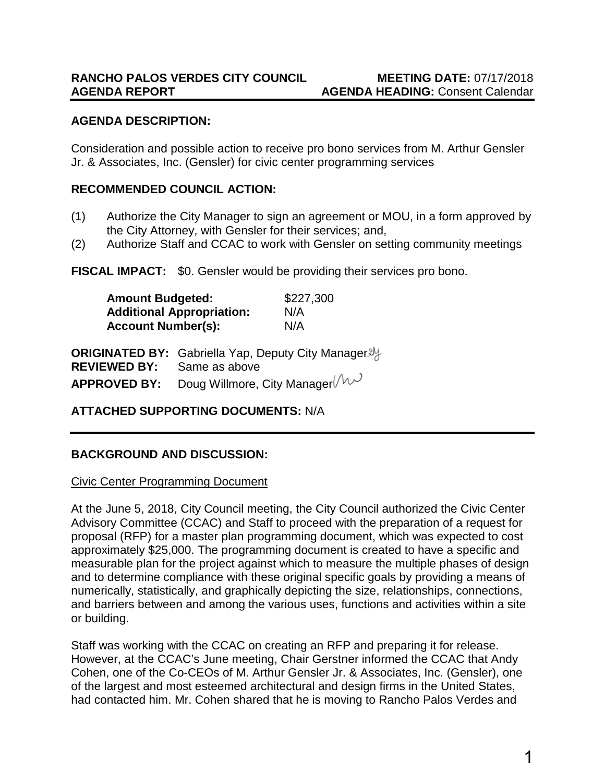# **AGENDA DESCRIPTION:**

Consideration and possible action to receive pro bono services from M. Arthur Gensler Jr. & Associates, Inc. (Gensler) for civic center programming services

### **RECOMMENDED COUNCIL ACTION:**

- (1) Authorize the City Manager to sign an agreement or MOU, in a form approved by the City Attorney, with Gensler for their services; and,
- (2) Authorize Staff and CCAC to work with Gensler on setting community meetings

**FISCAL IMPACT:** \$0. Gensler would be providing their services pro bono.

| <b>Amount Budgeted:</b><br><b>Additional Appropriation:</b><br><b>Account Number(s):</b> |                                                                             | \$227,300<br>N/A<br>N/A |
|------------------------------------------------------------------------------------------|-----------------------------------------------------------------------------|-------------------------|
| <b>REVIEWED BY:</b>                                                                      | ORIGINATED BY: Gabriella Yap, Deputy City Manager <i>y</i><br>Same as above |                         |
| <b>APPROVED BY:</b>                                                                      | Doug Willmore, City Manager ( $\mathcal{W}$                                 |                         |

### **ATTACHED SUPPORTING DOCUMENTS:** N/A

### **BACKGROUND AND DISCUSSION:**

#### Civic Center Programming Document

At the June 5, 2018, City Council meeting, the City Council authorized the Civic Center Advisory Committee (CCAC) and Staff to proceed with the preparation of a request for proposal (RFP) for a master plan programming document, which was expected to cost approximately \$25,000. The programming document is created to have a specific and measurable plan for the project against which to measure the multiple phases of design and to determine compliance with these original specific goals by providing a means of numerically, statistically, and graphically depicting the size, relationships, connections, and barriers between and among the various uses, functions and activities within a site or building.

Staff was working with the CCAC on creating an RFP and preparing it for release. However, at the CCAC's June meeting, Chair Gerstner informed the CCAC that Andy Cohen, one of the Co-CEOs of M. Arthur Gensler Jr. & Associates, Inc. (Gensler), one of the largest and most esteemed architectural and design firms in the United States, had contacted him. Mr. Cohen shared that he is moving to Rancho Palos Verdes and